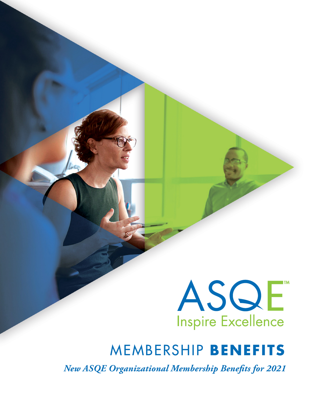

# MEMBERSHIP **BENEFITS**

*New ASQE Organizational Membership Benefits for 2021*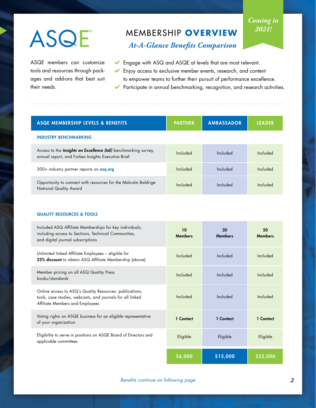# ASQE

ASQE members can customize tools and resources through packages and add-ons that best suit their needs.

# MEMBERSHIP **OVERVIEW**

# *Coming in 2021!*

*At-A-Glance Benefits Comparison*

- Engage with ASQ and ASQE at levels that are most relevant.
- Enjoy access to exclusive member events, research, and content to empower teams to further their pursuit of performance excellence. Participate in annual benchmarking, recognition, and research activities.

| ASQE MEMBERSHIP LEVELS & BENEFITS                                                                                            | <b>PARTNER</b> | <b>AMBASSADOR</b> | <b>LEADER</b> |
|------------------------------------------------------------------------------------------------------------------------------|----------------|-------------------|---------------|
| <b>INDUSTRY BENCHMARKING</b>                                                                                                 |                |                   |               |
| Access to the <b>Insights on Excellence (IoE)</b> benchmarking survey,<br>annual report, and Forbes Insights Executive Brief | Included       | Included          | Included      |
| 300+ industry partner reports on asq.org                                                                                     | Included       | Included          | Included      |
| Opportunity to connect with resources for the Malcolm Baldrige<br>National Quality Award                                     | Included       | Included          | Included      |

#### QUALITY RESOURCES & TOOLS

| Included ASQ Affiliate Memberships for key individuals,<br>including access to Sections, Technical Communities,<br>and digital journal subscriptions     | 10 <sup>1</sup><br><b>Members</b> | 30<br><b>Members</b> | 50<br><b>Members</b> |
|----------------------------------------------------------------------------------------------------------------------------------------------------------|-----------------------------------|----------------------|----------------------|
| Unlimited linked Affiliate Employees - eligible for<br>25% discount to obtain ASQ Affiliate Membership (above)                                           | Included                          | Included             | Included             |
| Member pricing on all ASQ Quality Press<br>books/standards                                                                                               | Included                          | Included             | Included             |
| Online access to ASQ's Quality Resources: publications,<br>tools, case studies, webcasts, and journals for all linked<br>Affiliate Members and Employees | Included                          | Included             | Included             |
| Voting rights on ASQE business for an eligible representative<br>of your organization                                                                    | 1 Contact                         | 1 Contact            | 1 Contact            |
| Eligibility to serve in positions on ASQE Board of Directors and<br>applicable committees                                                                | Eligible                          | Eligible             | Eligible             |
|                                                                                                                                                          | \$6,000                           | \$15,000             | \$25,000             |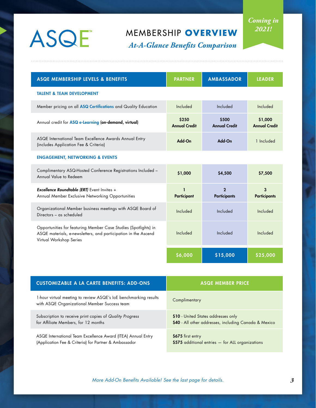# ASQE

# MEMBERSHIP **OVERVIEW**

*At-A-Glance Benefits Comparison*

| <b>ASQE MEMBERSHIP LEVELS &amp; BENEFITS</b>                                                                                                                 | <b>PARTNER</b>                | <b>AMBASSADOR</b>                   | <b>LEADER</b>                   |
|--------------------------------------------------------------------------------------------------------------------------------------------------------------|-------------------------------|-------------------------------------|---------------------------------|
| <b>TALENT &amp; TEAM DEVELOPMENT</b>                                                                                                                         |                               |                                     |                                 |
| Member pricing on all ASQ Certifications and Quality Education                                                                                               | Included                      | Included                            | Included                        |
| Annual credit for ASQ e-Learning (on-demand, virtual)                                                                                                        | \$250<br><b>Annual Credit</b> | \$500<br><b>Annual Credit</b>       | \$1,000<br><b>Annual Credit</b> |
| ASQE International Team Excellence Awards Annual Entry<br>(includes Application Fee & Criteria)                                                              | Add-On                        | Add-On                              | 1 Included                      |
| <b>ENGAGEMENT, NETWORKING &amp; EVENTS</b>                                                                                                                   |                               |                                     |                                 |
| Complimentary ASQ-Hosted Conference Registrations Included -<br>Annual Value to Redeem                                                                       | \$1,000                       | \$4,500                             | \$7,500                         |
| <b>Excellence Roundtable (ERT)</b> Event Invites +<br>Annual Member Exclusive Networking Opportunities                                                       | Participant                   | $\mathbf{2}$<br><b>Participants</b> | 3<br><b>Participants</b>        |
| Organizational Member business meetings with ASQE Board of<br>Directors - as scheduled                                                                       | Included                      | Included                            | Included                        |
| Opportunities for featuring Member Case Studies (Spotlights) in<br>ASQE materials, e-newsletters, and participation in the Ascend<br>Virtual Workshop Series | Included                      | Included                            | Included                        |
|                                                                                                                                                              | \$6,000                       | \$15,000                            | \$25,000                        |

| <b>CUSTOMIZABLE A LA CARTE BENEFITS: ADD-ONS</b>                                                                 | <b>ASQE MEMBER PRICE</b>                              |
|------------------------------------------------------------------------------------------------------------------|-------------------------------------------------------|
| 1-hour virtual meeting to review ASQE's loE benchmarking results<br>with ASQE Organizational Member Success team | Complimentary                                         |
| Subscription to receive print copies of Quality Progress                                                         | \$10 - United States addresses only                   |
| for Affiliate Members, for 12 months                                                                             | \$40 - All other addresses, including Canada & Mexico |
| ASQE International Team Excellence Award (ITEA) Annual Entry                                                     | \$675 first entry                                     |
| (Application Fee & Criteria) for Partner & Ambassador                                                            | \$575 additional entries - for ALL organizations      |